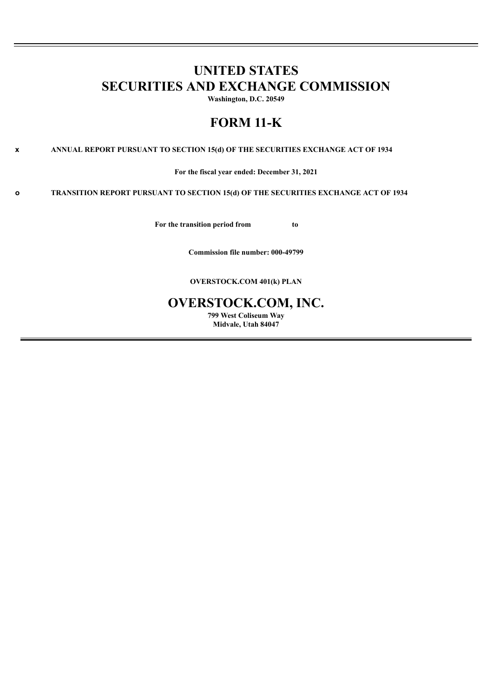# **UNITED STATES SECURITIES AND EXCHANGE COMMISSION**

**Washington, D.C. 20549**

# **FORM 11-K**

**x ANNUAL REPORT PURSUANT TO SECTION 15(d) OF THE SECURITIES EXCHANGE ACT OF 1934**

**For the fiscal year ended: December 31, 2021**

**o TRANSITION REPORT PURSUANT TO SECTION 15(d) OF THE SECURITIES EXCHANGE ACT OF 1934**

**For the transition period from to**

**Commission file number: 000-49799**

**OVERSTOCK.COM 401(k) PLAN**

# **OVERSTOCK.COM, INC.**

**799 West Coliseum Way Midvale, Utah 84047**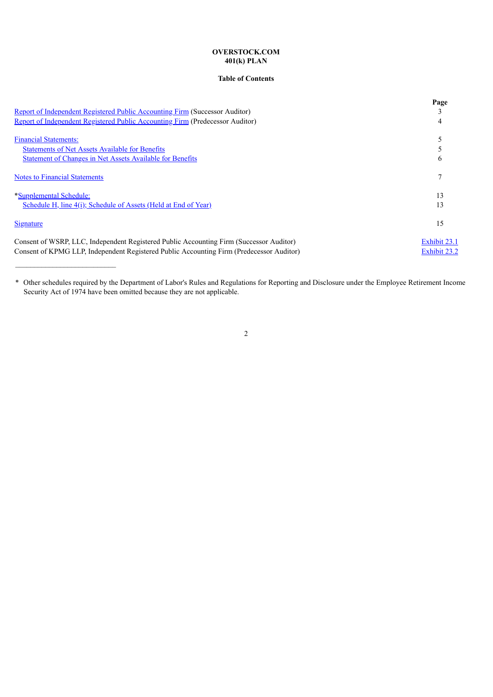# **OVERSTOCK.COM 401(k) PLAN**

## **Table of Contents**

|                                                                                          | Page         |
|------------------------------------------------------------------------------------------|--------------|
| Report of Independent Registered Public Accounting Firm (Successor Auditor)              |              |
| Report of Independent Registered Public Accounting Firm (Predecessor Auditor)            |              |
| <b>Financial Statements:</b>                                                             |              |
| <b>Statements of Net Assets Available for Benefits</b>                                   |              |
| <b>Statement of Changes in Net Assets Available for Benefits</b>                         |              |
| <b>Notes to Financial Statements</b>                                                     |              |
| *Supplemental Schedule:                                                                  | 13           |
| Schedule H, line 4(i); Schedule of Assets (Held at End of Year)                          | 13           |
| Signature                                                                                | 15           |
| Consent of WSRP, LLC, Independent Registered Public Accounting Firm (Successor Auditor)  | Exhibit 23.1 |
| Consent of KPMG LLP, Independent Registered Public Accounting Firm (Predecessor Auditor) | Exhibit 23.2 |

<span id="page-1-0"></span>\* Other schedules required by the Department of Labor's Rules and Regulations for Reporting and Disclosure under the Employee Retirement Income Security Act of 1974 have been omitted because they are not applicable.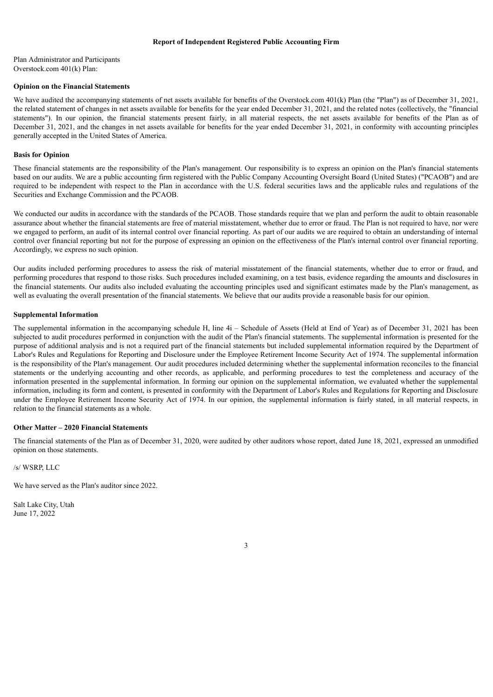## **Report of Independent Registered Public Accounting Firm**

Plan Administrator and Participants Overstock.com 401(k) Plan:

#### **Opinion on the Financial Statements**

We have audited the accompanying statements of net assets available for benefits of the Overstock.com 401(k) Plan (the "Plan") as of December 31, 2021, the related statement of changes in net assets available for benefits for the year ended December 31, 2021, and the related notes (collectively, the "financial statements"). In our opinion, the financial statements present fairly, in all material respects, the net assets available for benefits of the Plan as of December 31, 2021, and the changes in net assets available for benefits for the year ended December 31, 2021, in conformity with accounting principles generally accepted in the United States of America.

#### **Basis for Opinion**

These financial statements are the responsibility of the Plan's management. Our responsibility is to express an opinion on the Plan's financial statements based on our audits. We are a public accounting firm registered with the Public Company Accounting Oversight Board (United States) ("PCAOB") and are required to be independent with respect to the Plan in accordance with the U.S. federal securities laws and the applicable rules and regulations of the Securities and Exchange Commission and the PCAOB.

We conducted our audits in accordance with the standards of the PCAOB. Those standards require that we plan and perform the audit to obtain reasonable assurance about whether the financial statements are free of material misstatement, whether due to error or fraud. The Plan is not required to have, nor were we engaged to perform, an audit of its internal control over financial reporting. As part of our audits we are required to obtain an understanding of internal control over financial reporting but not for the purpose of expressing an opinion on the effectiveness of the Plan's internal control over financial reporting. Accordingly, we express no such opinion.

Our audits included performing procedures to assess the risk of material misstatement of the financial statements, whether due to error or fraud, and performing procedures that respond to those risks. Such procedures included examining, on a test basis, evidence regarding the amounts and disclosures in the financial statements. Our audits also included evaluating the accounting principles used and significant estimates made by the Plan's management, as well as evaluating the overall presentation of the financial statements. We believe that our audits provide a reasonable basis for our opinion.

#### **Supplemental Information**

The supplemental information in the accompanying schedule H, line  $4i$  – Schedule of Assets (Held at End of Year) as of December 31, 2021 has been subjected to audit procedures performed in conjunction with the audit of the Plan's financial statements. The supplemental information is presented for the purpose of additional analysis and is not a required part of the financial statements but included supplemental information required by the Department of Labor's Rules and Regulations for Reporting and Disclosure under the Employee Retirement Income Security Act of 1974. The supplemental information is the responsibility of the Plan's management. Our audit procedures included determining whether the supplemental information reconciles to the financial statements or the underlying accounting and other records, as applicable, and performing procedures to test the completeness and accuracy of the information presented in the supplemental information. In forming our opinion on the supplemental information, we evaluated whether the supplemental information, including its form and content, is presented in conformity with the Department of Labor's Rules and Regulations for Reporting and Disclosure under the Employee Retirement Income Security Act of 1974. In our opinion, the supplemental information is fairly stated, in all material respects, in relation to the financial statements as a whole.

### **Other Matter – 2020 Financial Statements**

The financial statements of the Plan as of December 31, 2020, were audited by other auditors whose report, dated June 18, 2021, expressed an unmodified opinion on those statements.

#### /s/ WSRP, LLC

We have served as the Plan's auditor since 2022.

<span id="page-2-0"></span>Salt Lake City, Utah June 17, 2022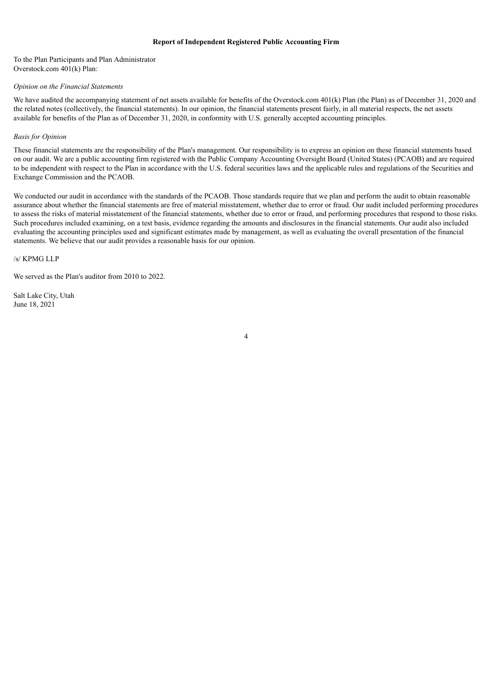## **Report of Independent Registered Public Accounting Firm**

To the Plan Participants and Plan Administrator Overstock.com 401(k) Plan:

#### *Opinion on the Financial Statements*

We have audited the accompanying statement of net assets available for benefits of the Overstock.com 401(k) Plan (the Plan) as of December 31, 2020 and the related notes (collectively, the financial statements). In our opinion, the financial statements present fairly, in all material respects, the net assets available for benefits of the Plan as of December 31, 2020, in conformity with U.S. generally accepted accounting principles.

## *Basis for Opinion*

These financial statements are the responsibility of the Plan's management. Our responsibility is to express an opinion on these financial statements based on our audit. We are a public accounting firm registered with the Public Company Accounting Oversight Board (United States) (PCAOB) and are required to be independent with respect to the Plan in accordance with the U.S. federal securities laws and the applicable rules and regulations of the Securities and Exchange Commission and the PCAOB.

We conducted our audit in accordance with the standards of the PCAOB. Those standards require that we plan and perform the audit to obtain reasonable assurance about whether the financial statements are free of material misstatement, whether due to error or fraud. Our audit included performing procedures to assess the risks of material misstatement of the financial statements, whether due to error or fraud, and performing procedures that respond to those risks. Such procedures included examining, on a test basis, evidence regarding the amounts and disclosures in the financial statements. Our audit also included evaluating the accounting principles used and significant estimates made by management, as well as evaluating the overall presentation of the financial statements. We believe that our audit provides a reasonable basis for our opinion.

/s/ KPMG LLP

We served as the Plan's auditor from 2010 to 2022.

<span id="page-3-0"></span>Salt Lake City, Utah June 18, 2021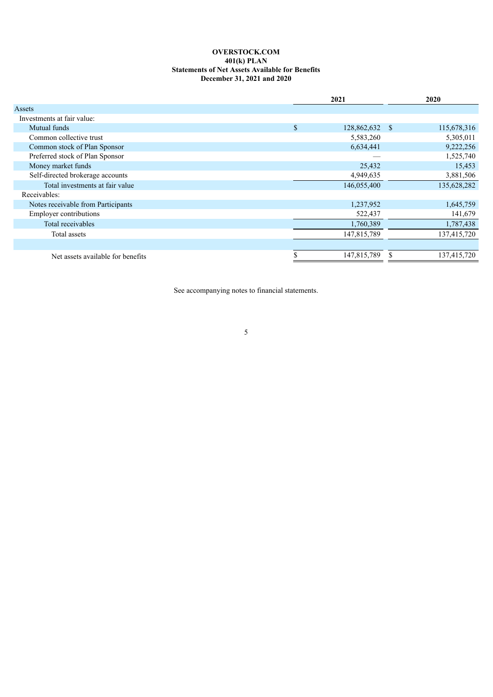## **OVERSTOCK.COM 401(k) PLAN Statements of Net Assets Available for Benefits December 31, 2021 and 2020**

<span id="page-4-0"></span>

|                                    |    | 2021        | 2020 |             |  |
|------------------------------------|----|-------------|------|-------------|--|
| Assets                             |    |             |      |             |  |
| Investments at fair value:         |    |             |      |             |  |
| Mutual funds                       | \$ | 128,862,632 | -S   | 115,678,316 |  |
| Common collective trust            |    | 5,583,260   |      | 5,305,011   |  |
| Common stock of Plan Sponsor       |    | 6,634,441   |      | 9,222,256   |  |
| Preferred stock of Plan Sponsor    |    |             |      | 1,525,740   |  |
| Money market funds                 |    | 25,432      |      | 15,453      |  |
| Self-directed brokerage accounts   |    | 4,949,635   |      | 3,881,506   |  |
| Total investments at fair value    |    | 146,055,400 |      | 135,628,282 |  |
| Receivables:                       |    |             |      |             |  |
| Notes receivable from Participants |    | 1,237,952   |      | 1,645,759   |  |
| <b>Employer contributions</b>      |    | 522,437     |      | 141,679     |  |
| Total receivables                  |    | 1,760,389   |      | 1,787,438   |  |
| Total assets                       |    | 147,815,789 |      | 137,415,720 |  |
|                                    |    |             |      |             |  |
| Net assets available for benefits  | J. | 147,815,789 |      | 137,415,720 |  |

<span id="page-4-1"></span>See accompanying notes to financial statements.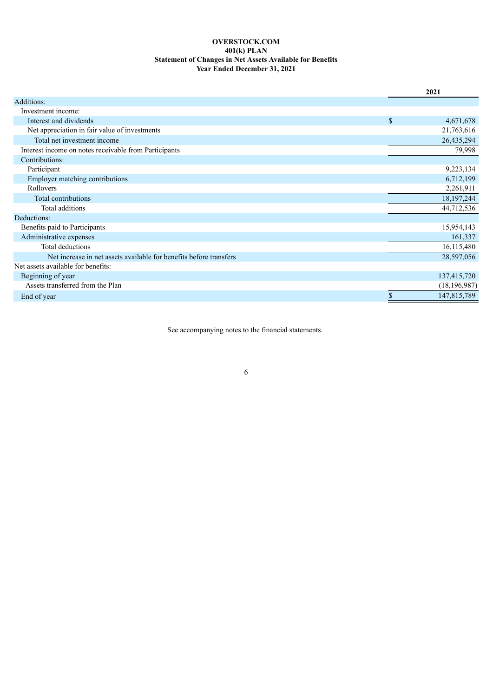# **OVERSTOCK.COM 401(k) PLAN Statement of Changes in Net Assets Available for Benefits Year Ended December 31, 2021**

|                                                                    | 2021              |  |
|--------------------------------------------------------------------|-------------------|--|
| Additions:                                                         |                   |  |
| Investment income:                                                 |                   |  |
| Interest and dividends                                             | \$<br>4,671,678   |  |
| Net appreciation in fair value of investments                      | 21,763,616        |  |
| Total net investment income                                        | 26,435,294        |  |
| Interest income on notes receivable from Participants              | 79,998            |  |
| Contributions:                                                     |                   |  |
| Participant                                                        | 9,223,134         |  |
| Employer matching contributions                                    | 6,712,199         |  |
| Rollovers                                                          | 2,261,911         |  |
| Total contributions                                                | 18, 197, 244      |  |
| Total additions                                                    | 44,712,536        |  |
| Deductions:                                                        |                   |  |
| Benefits paid to Participants                                      | 15,954,143        |  |
| Administrative expenses                                            | 161,337           |  |
| <b>Total deductions</b>                                            | 16,115,480        |  |
| Net increase in net assets available for benefits before transfers | 28,597,056        |  |
| Net assets available for benefits:                                 |                   |  |
| Beginning of year                                                  | 137,415,720       |  |
| Assets transferred from the Plan                                   | (18, 196, 987)    |  |
| End of year                                                        | \$<br>147,815,789 |  |

<span id="page-5-0"></span>See accompanying notes to the financial statements.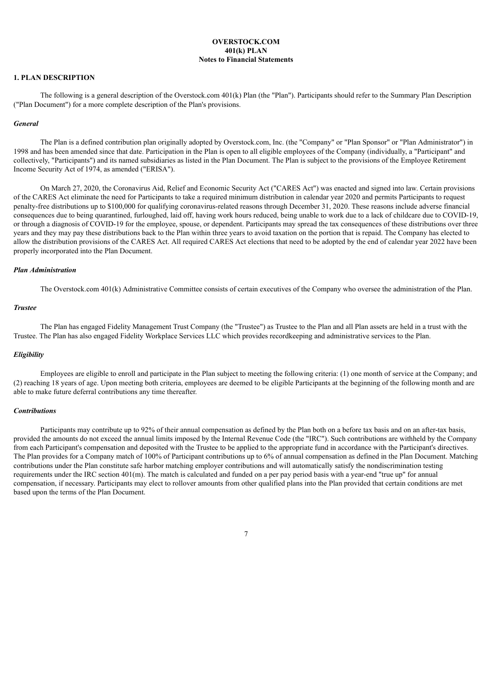## **OVERSTOCK.COM 401(k) PLAN Notes to Financial Statements**

## **1. PLAN DESCRIPTION**

The following is a general description of the Overstock.com 401(k) Plan (the "Plan"). Participants should refer to the Summary Plan Description ("Plan Document") for a more complete description of the Plan's provisions.

#### *General*

The Plan is a defined contribution plan originally adopted by Overstock.com, Inc. (the "Company" or "Plan Sponsor" or "Plan Administrator") in 1998 and has been amended since that date. Participation in the Plan is open to all eligible employees of the Company (individually, a "Participant" and collectively, "Participants") and its named subsidiaries as listed in the Plan Document. The Plan is subject to the provisions of the Employee Retirement Income Security Act of 1974, as amended ("ERISA").

On March 27, 2020, the Coronavirus Aid, Relief and Economic Security Act ("CARES Act") was enacted and signed into law. Certain provisions of the CARES Act eliminate the need for Participants to take a required minimum distribution in calendar year 2020 and permits Participants to request penalty-free distributions up to \$100,000 for qualifying coronavirus-related reasons through December 31, 2020. These reasons include adverse financial consequences due to being quarantined, furloughed, laid off, having work hours reduced, being unable to work due to a lack of childcare due to COVID-19, or through a diagnosis of COVID-19 for the employee, spouse, or dependent. Participants may spread the tax consequences of these distributions over three years and they may pay these distributions back to the Plan within three years to avoid taxation on the portion that is repaid. The Company has elected to allow the distribution provisions of the CARES Act. All required CARES Act elections that need to be adopted by the end of calendar year 2022 have been properly incorporated into the Plan Document.

#### *Plan Administration*

The Overstock.com 401(k) Administrative Committee consists of certain executives of the Company who oversee the administration of the Plan.

#### *Trustee*

The Plan has engaged Fidelity Management Trust Company (the "Trustee") as Trustee to the Plan and all Plan assets are held in a trust with the Trustee. The Plan has also engaged Fidelity Workplace Services LLC which provides recordkeeping and administrative services to the Plan.

#### *Eligibility*

Employees are eligible to enroll and participate in the Plan subject to meeting the following criteria: (1) one month of service at the Company; and (2) reaching 18 years of age. Upon meeting both criteria, employees are deemed to be eligible Participants at the beginning of the following month and are able to make future deferral contributions any time thereafter.

#### *Contributions*

Participants may contribute up to 92% of their annual compensation as defined by the Plan both on a before tax basis and on an after-tax basis, provided the amounts do not exceed the annual limits imposed by the Internal Revenue Code (the "IRC"). Such contributions are withheld by the Company from each Participant's compensation and deposited with the Trustee to be applied to the appropriate fund in accordance with the Participant's directives. The Plan provides for a Company match of 100% of Participant contributions up to 6% of annual compensation as defined in the Plan Document. Matching contributions under the Plan constitute safe harbor matching employer contributions and will automatically satisfy the nondiscrimination testing requirements under the IRC section 401(m). The match is calculated and funded on a per pay period basis with a year-end "true up" for annual compensation, if necessary. Participants may elect to rollover amounts from other qualified plans into the Plan provided that certain conditions are met based upon the terms of the Plan Document.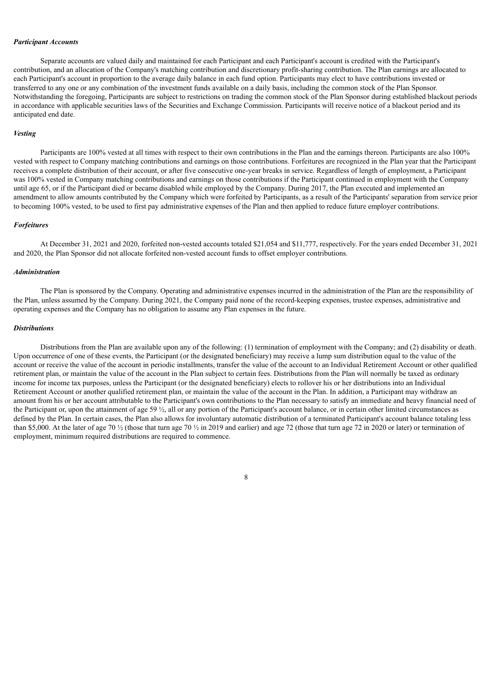## *Participant Accounts*

Separate accounts are valued daily and maintained for each Participant and each Participant's account is credited with the Participant's contribution, and an allocation of the Company's matching contribution and discretionary profit-sharing contribution. The Plan earnings are allocated to each Participant's account in proportion to the average daily balance in each fund option. Participants may elect to have contributions invested or transferred to any one or any combination of the investment funds available on a daily basis, including the common stock of the Plan Sponsor. Notwithstanding the foregoing, Participants are subject to restrictions on trading the common stock of the Plan Sponsor during established blackout periods in accordance with applicable securities laws of the Securities and Exchange Commission. Participants will receive notice of a blackout period and its anticipated end date.

#### *Vesting*

Participants are 100% vested at all times with respect to their own contributions in the Plan and the earnings thereon. Participants are also 100% vested with respect to Company matching contributions and earnings on those contributions. Forfeitures are recognized in the Plan year that the Participant receives a complete distribution of their account, or after five consecutive one-year breaks in service. Regardless of length of employment, a Participant was 100% vested in Company matching contributions and earnings on those contributions if the Participant continued in employment with the Company until age 65, or if the Participant died or became disabled while employed by the Company. During 2017, the Plan executed and implemented an amendment to allow amounts contributed by the Company which were forfeited by Participants, as a result of the Participants' separation from service prior to becoming 100% vested, to be used to first pay administrative expenses of the Plan and then applied to reduce future employer contributions.

### *Forfeitures*

At December 31, 2021 and 2020, forfeited non-vested accounts totaled \$21,054 and \$11,777, respectively. For the years ended December 31, 2021 and 2020, the Plan Sponsor did not allocate forfeited non-vested account funds to offset employer contributions.

#### *Administration*

The Plan is sponsored by the Company. Operating and administrative expenses incurred in the administration of the Plan are the responsibility of the Plan, unless assumed by the Company. During 2021, the Company paid none of the record-keeping expenses, trustee expenses, administrative and operating expenses and the Company has no obligation to assume any Plan expenses in the future.

#### *Distributions*

Distributions from the Plan are available upon any of the following: (1) termination of employment with the Company; and (2) disability or death. Upon occurrence of one of these events, the Participant (or the designated beneficiary) may receive a lump sum distribution equal to the value of the account or receive the value of the account in periodic installments, transfer the value of the account to an Individual Retirement Account or other qualified retirement plan, or maintain the value of the account in the Plan subject to certain fees. Distributions from the Plan will normally be taxed as ordinary income for income tax purposes, unless the Participant (or the designated beneficiary) elects to rollover his or her distributions into an Individual Retirement Account or another qualified retirement plan, or maintain the value of the account in the Plan. In addition, a Participant may withdraw an amount from his or her account attributable to the Participant's own contributions to the Plan necessary to satisfy an immediate and heavy financial need of the Participant or, upon the attainment of age 59  $\frac{1}{2}$ , all or any portion of the Participant's account balance, or in certain other limited circumstances as defined by the Plan. In certain cases, the Plan also allows for involuntary automatic distribution of a terminated Participant's account balance totaling less than \$5,000. At the later of age 70  $\frac{1}{2}$  (those that turn age 70  $\frac{1}{2}$  in 2019 and earlier) and age 72 (those that turn age 72 in 2020 or later) or termination of employment, minimum required distributions are required to commence.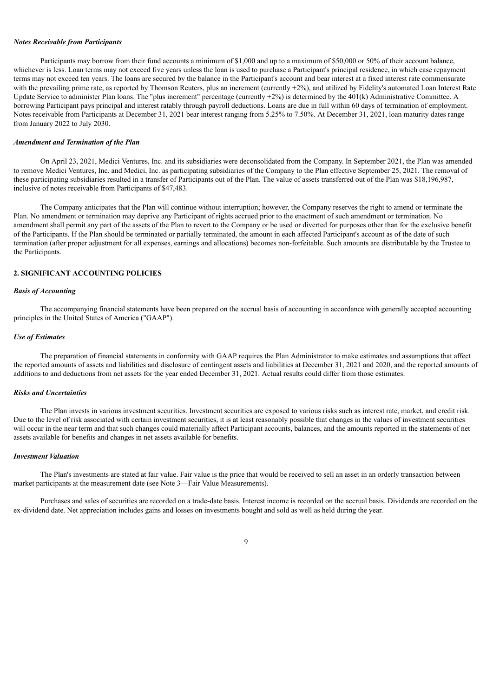#### *Notes Receivable from Participants*

Participants may borrow from their fund accounts a minimum of \$1,000 and up to a maximum of \$50,000 or 50% of their account balance. whichever is less. Loan terms may not exceed five years unless the loan is used to purchase a Participant's principal residence, in which case repayment terms may not exceed ten years. The loans are secured by the balance in the Participant's account and bear interest at a fixed interest rate commensurate with the prevailing prime rate, as reported by Thomson Reuters, plus an increment (currently +2%), and utilized by Fidelity's automated Loan Interest Rate Update Service to administer Plan loans. The "plus increment" percentage (currently  $+2\%$ ) is determined by the 401(k) Administrative Committee. A borrowing Participant pays principal and interest ratably through payroll deductions. Loans are due in full within 60 days of termination of employment. Notes receivable from Participants at December 31, 2021 bear interest ranging from 5.25% to 7.50%. At December 31, 2021, loan maturity dates range from January 2022 to July 2030.

#### *Amendment and Termination of the Plan*

On April 23, 2021, Medici Ventures, Inc. and its subsidiaries were deconsolidated from the Company. In September 2021, the Plan was amended to remove Medici Ventures, Inc. and Medici, Inc. as participating subsidiaries of the Company to the Plan effective September 25, 2021. The removal of these participating subsidiaries resulted in a transfer of Participants out of the Plan. The value of assets transferred out of the Plan was \$18,196,987, inclusive of notes receivable from Participants of \$47,483.

The Company anticipates that the Plan will continue without interruption; however, the Company reserves the right to amend or terminate the Plan. No amendment or termination may deprive any Participant of rights accrued prior to the enactment of such amendment or termination. No amendment shall permit any part of the assets of the Plan to revert to the Company or be used or diverted for purposes other than for the exclusive benefit of the Participants. If the Plan should be terminated or partially terminated, the amount in each affected Participant's account as of the date of such termination (after proper adjustment for all expenses, earnings and allocations) becomes non-forfeitable. Such amounts are distributable by the Trustee to the Participants.

# **2. SIGNIFICANT ACCOUNTING POLICIES**

#### *Basis of Accounting*

The accompanying financial statements have been prepared on the accrual basis of accounting in accordance with generally accepted accounting principles in the United States of America ("GAAP").

#### *Use of Estimates*

The preparation of financial statements in conformity with GAAP requires the Plan Administrator to make estimates and assumptions that affect the reported amounts of assets and liabilities and disclosure of contingent assets and liabilities at December 31, 2021 and 2020, and the reported amounts of additions to and deductions from net assets for the year ended December 31, 2021. Actual results could differ from those estimates.

## *Risks and Uncertainties*

The Plan invests in various investment securities. Investment securities are exposed to various risks such as interest rate, market, and credit risk. Due to the level of risk associated with certain investment securities, it is at least reasonably possible that changes in the values of investment securities will occur in the near term and that such changes could materially affect Participant accounts, balances, and the amounts reported in the statements of net assets available for benefits and changes in net assets available for benefits.

#### *Investment Valuation*

The Plan's investments are stated at fair value. Fair value is the price that would be received to sell an asset in an orderly transaction between market participants at the measurement date (see Note 3—Fair Value Measurements).

Purchases and sales of securities are recorded on a trade-date basis. Interest income is recorded on the accrual basis. Dividends are recorded on the ex-dividend date. Net appreciation includes gains and losses on investments bought and sold as well as held during the year.

# $\overline{Q}$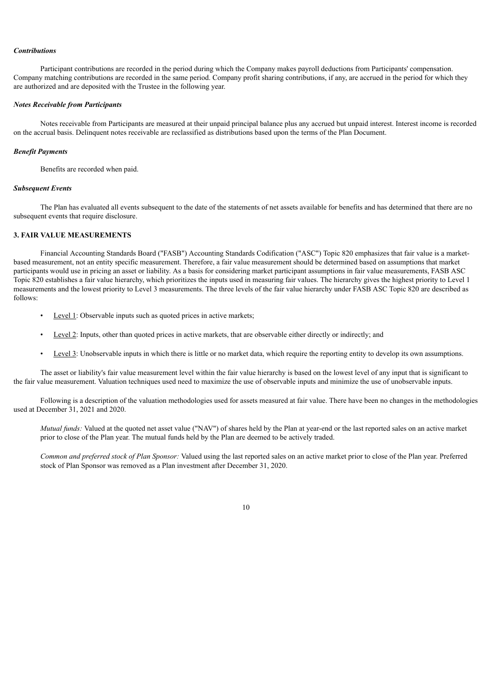#### *Contributions*

Participant contributions are recorded in the period during which the Company makes payroll deductions from Participants' compensation. Company matching contributions are recorded in the same period. Company profit sharing contributions, if any, are accrued in the period for which they are authorized and are deposited with the Trustee in the following year.

## *Notes Receivable from Participants*

Notes receivable from Participants are measured at their unpaid principal balance plus any accrued but unpaid interest. Interest income is recorded on the accrual basis. Delinquent notes receivable are reclassified as distributions based upon the terms of the Plan Document.

#### *Benefit Payments*

Benefits are recorded when paid.

#### *Subsequent Events*

The Plan has evaluated all events subsequent to the date of the statements of net assets available for benefits and has determined that there are no subsequent events that require disclosure.

## **3. FAIR VALUE MEASUREMENTS**

Financial Accounting Standards Board ("FASB") Accounting Standards Codification ("ASC") Topic 820 emphasizes that fair value is a marketbased measurement, not an entity specific measurement. Therefore, a fair value measurement should be determined based on assumptions that market participants would use in pricing an asset or liability. As a basis for considering market participant assumptions in fair value measurements, FASB ASC Topic 820 establishes a fair value hierarchy, which prioritizes the inputs used in measuring fair values. The hierarchy gives the highest priority to Level 1 measurements and the lowest priority to Level 3 measurements. The three levels of the fair value hierarchy under FASB ASC Topic 820 are described as follows:

- Level 1: Observable inputs such as quoted prices in active markets;
- Level 2: Inputs, other than quoted prices in active markets, that are observable either directly or indirectly; and
- Level 3: Unobservable inputs in which there is little or no market data, which require the reporting entity to develop its own assumptions.

The asset or liability's fair value measurement level within the fair value hierarchy is based on the lowest level of any input that is significant to the fair value measurement. Valuation techniques used need to maximize the use of observable inputs and minimize the use of unobservable inputs.

Following is a description of the valuation methodologies used for assets measured at fair value. There have been no changes in the methodologies used at December 31, 2021 and 2020.

*Mutual funds:* Valued at the quoted net asset value ("NAV") of shares held by the Plan at year-end or the last reported sales on an active market prior to close of the Plan year. The mutual funds held by the Plan are deemed to be actively traded.

*Common and preferred stock of Plan Sponsor:* Valued using the last reported sales on an active market prior to close of the Plan year. Preferred stock of Plan Sponsor was removed as a Plan investment after December 31, 2020.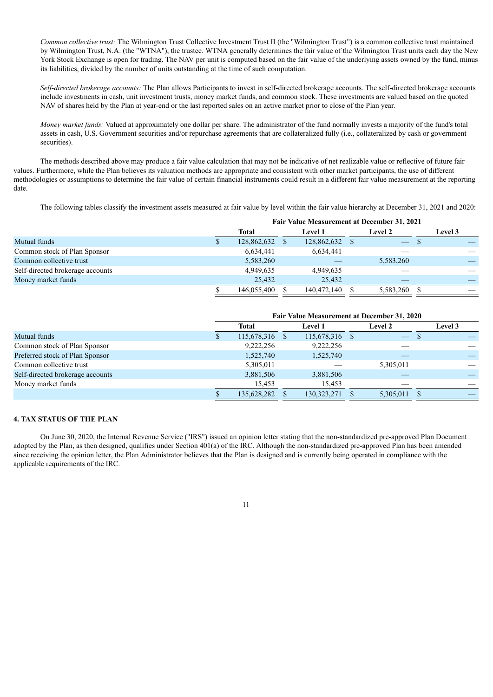*Common collective trust:* The Wilmington Trust Collective Investment Trust II (the "Wilmington Trust") is a common collective trust maintained by Wilmington Trust, N.A. (the "WTNA"), the trustee. WTNA generally determines the fair value of the Wilmington Trust units each day the New York Stock Exchange is open for trading. The NAV per unit is computed based on the fair value of the underlying assets owned by the fund, minus its liabilities, divided by the number of units outstanding at the time of such computation.

*Self-directed brokerage accounts:* The Plan allows Participants to invest in self-directed brokerage accounts. The self-directed brokerage accounts include investments in cash, unit investment trusts, money market funds, and common stock. These investments are valued based on the quoted NAV of shares held by the Plan at year-end or the last reported sales on an active market prior to close of the Plan year.

*Money market funds:* Valued at approximately one dollar per share. The administrator of the fund normally invests a majority of the fund's total assets in cash, U.S. Government securities and/or repurchase agreements that are collateralized fully (i.e., collateralized by cash or government securities).

The methods described above may produce a fair value calculation that may not be indicative of net realizable value or reflective of future fair values. Furthermore, while the Plan believes its valuation methods are appropriate and consistent with other market participants, the use of different methodologies or assumptions to determine the fair value of certain financial instruments could result in a different fair value measurement at the reporting date.

The following tables classify the investment assets measured at fair value by level within the fair value hierarchy at December 31, 2021 and 2020:

|                                  | Fair Value Measurement at December 31, 2021 |             |  |                |  |                |                |
|----------------------------------|---------------------------------------------|-------------|--|----------------|--|----------------|----------------|
|                                  |                                             | Total       |  | <b>Level 1</b> |  | <b>Level 2</b> | <b>Level 3</b> |
| Mutual funds                     |                                             | 128,862,632 |  | 128,862,632    |  | <u> — 7</u>    |                |
| Common stock of Plan Sponsor     |                                             | 6,634,441   |  | 6,634,441      |  |                |                |
| Common collective trust          |                                             | 5,583,260   |  |                |  | 5,583,260      |                |
| Self-directed brokerage accounts |                                             | 4,949,635   |  | 4,949,635      |  |                |                |
| Money market funds               |                                             | 25,432      |  | 25.432         |  |                |                |
|                                  |                                             | 146,055,400 |  | 140,472,140    |  | 5,583,260      |                |

|                                  | Fair Value Measurement at December 31, 2020 |  |               |  |                          |                |
|----------------------------------|---------------------------------------------|--|---------------|--|--------------------------|----------------|
|                                  | <b>Total</b>                                |  | Level 1       |  | <b>Level 2</b>           | <b>Level 3</b> |
| Mutual funds                     | 115,678,316 \$                              |  | 115,678,316   |  | $\overline{\phantom{a}}$ |                |
| Common stock of Plan Sponsor     | 9,222,256                                   |  | 9,222,256     |  |                          |                |
| Preferred stock of Plan Sponsor  | 1,525,740                                   |  | 1,525,740     |  |                          |                |
| Common collective trust          | 5,305,011                                   |  |               |  | 5,305,011                |                |
| Self-directed brokerage accounts | 3,881,506                                   |  | 3,881,506     |  |                          |                |
| Money market funds               | 15,453                                      |  | 15,453        |  |                          |                |
|                                  | 135,628,282                                 |  | 130, 323, 271 |  | 5,305,011                |                |

## **4. TAX STATUS OF THE PLAN**

On June 30, 2020, the Internal Revenue Service ("IRS") issued an opinion letter stating that the non-standardized pre-approved Plan Document adopted by the Plan, as then designed, qualifies under Section 401(a) of the IRC. Although the non-standardized pre-approved Plan has been amended since receiving the opinion letter, the Plan Administrator believes that the Plan is designed and is currently being operated in compliance with the applicable requirements of the IRC.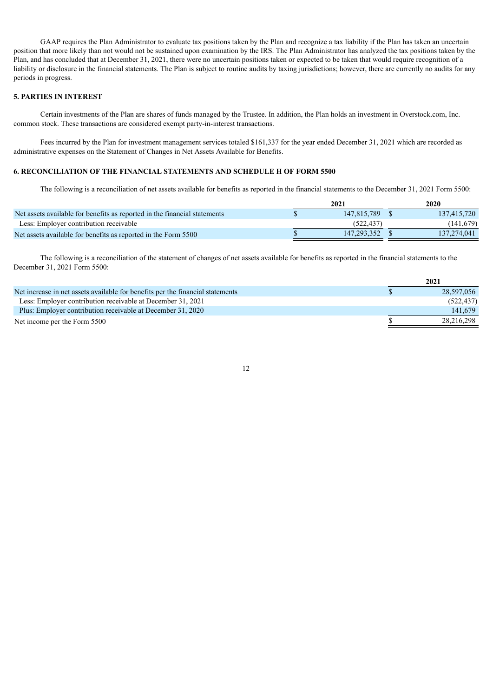GAAP requires the Plan Administrator to evaluate tax positions taken by the Plan and recognize a tax liability if the Plan has taken an uncertain position that more likely than not would not be sustained upon examination by the IRS. The Plan Administrator has analyzed the tax positions taken by the Plan, and has concluded that at December 31, 2021, there were no uncertain positions taken or expected to be taken that would require recognition of a liability or disclosure in the financial statements. The Plan is subject to routine audits by taxing jurisdictions; however, there are currently no audits for any periods in progress.

## **5. PARTIES IN INTEREST**

Certain investments of the Plan are shares of funds managed by the Trustee. In addition, the Plan holds an investment in Overstock.com, Inc. common stock. These transactions are considered exempt party-in-interest transactions.

Fees incurred by the Plan for investment management services totaled \$161,337 for the year ended December 31, 2021 which are recorded as administrative expenses on the Statement of Changes in Net Assets Available for Benefits.

## **6. RECONCILIATION OF THE FINANCIAL STATEMENTS AND SCHEDULE H OF FORM 5500**

The following is a reconciliation of net assets available for benefits as reported in the financial statements to the December 31, 2021 Form 5500:

|                                                                           | 2021        | 2020        |
|---------------------------------------------------------------------------|-------------|-------------|
| Net assets available for benefits as reported in the financial statements | 147.815.789 | 137,415,720 |
| Less: Employer contribution receivable                                    | (522.437)   | (141, 679)  |
| Net assets available for benefits as reported in the Form 5500            | 147.293.352 | 137.274.041 |

The following is a reconciliation of the statement of changes of net assets available for benefits as reported in the financial statements to the December 31, 2021 Form 5500:

<span id="page-11-0"></span>

|                                                                                | 2021       |
|--------------------------------------------------------------------------------|------------|
| Net increase in net assets available for benefits per the financial statements | 28,597,056 |
| Less: Employer contribution receivable at December 31, 2021                    | (522, 437) |
| Plus: Employer contribution receivable at December 31, 2020                    | 141.679    |
| Net income per the Form 5500                                                   | 28,216,298 |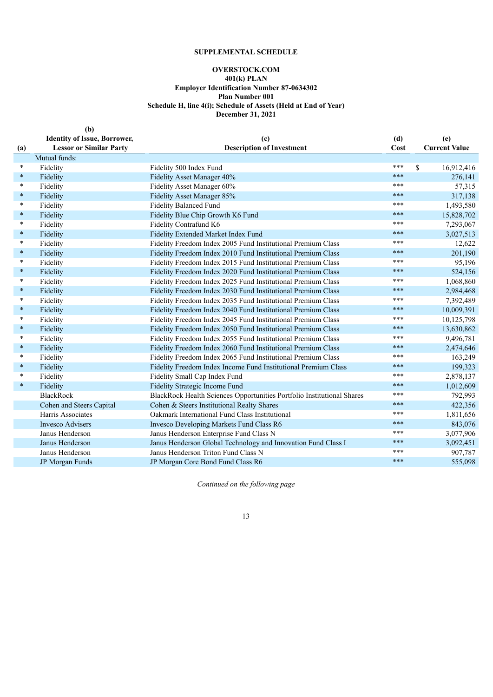# **SUPPLEMENTAL SCHEDULE**

# **OVERSTOCK.COM**

#### **401(k) PLAN**

**Employer Identification Number 87-0634302**

**Plan Number 001**

**Schedule H, line 4(i); Schedule of Assets (Held at End of Year)**

**December 31, 2021**

<span id="page-12-0"></span>

|        | (b)                                 |                                                                        |      |                      |
|--------|-------------------------------------|------------------------------------------------------------------------|------|----------------------|
|        | <b>Identity of Issue, Borrower,</b> | (c)                                                                    | (d)  | (e)                  |
| (a)    | <b>Lessor or Similar Party</b>      | <b>Description of Investment</b>                                       | Cost | <b>Current Value</b> |
|        | Mutual funds:                       |                                                                        |      |                      |
| $\ast$ | Fidelity                            | Fidelity 500 Index Fund                                                | ***  | 16,912,416<br>\$     |
| $\ast$ | Fidelity                            | Fidelity Asset Manager 40%                                             | ***  | 276,141              |
| $\ast$ | Fidelity                            | Fidelity Asset Manager 60%                                             | ***  | 57,315               |
| $\ast$ | Fidelity                            | Fidelity Asset Manager 85%                                             | ***  | 317,138              |
| $\ast$ | Fidelity                            | <b>Fidelity Balanced Fund</b>                                          | ***  | 1,493,580            |
| $\ast$ | Fidelity                            | Fidelity Blue Chip Growth K6 Fund                                      | ***  | 15,828,702           |
| $\ast$ | Fidelity                            | Fidelity Contrafund K6                                                 | ***  | 7,293,067            |
| $\ast$ | Fidelity                            | Fidelity Extended Market Index Fund                                    | ***  | 3,027,513            |
| $\ast$ | Fidelity                            | Fidelity Freedom Index 2005 Fund Institutional Premium Class           | ***  | 12,622               |
| $\ast$ | Fidelity                            | Fidelity Freedom Index 2010 Fund Institutional Premium Class           | ***  | 201,190              |
| $\ast$ | Fidelity                            | Fidelity Freedom Index 2015 Fund Institutional Premium Class           | ***  | 95,196               |
| $\ast$ | Fidelity                            | Fidelity Freedom Index 2020 Fund Institutional Premium Class           | ***  | 524,156              |
| $\ast$ | Fidelity                            | Fidelity Freedom Index 2025 Fund Institutional Premium Class           | ***  | 1,068,860            |
| $\ast$ | Fidelity                            | Fidelity Freedom Index 2030 Fund Institutional Premium Class           | ***  | 2,984,468            |
| $\ast$ | Fidelity                            | Fidelity Freedom Index 2035 Fund Institutional Premium Class           | ***  | 7,392,489            |
| $\ast$ | Fidelity                            | Fidelity Freedom Index 2040 Fund Institutional Premium Class           | ***  | 10,009,391           |
| $\ast$ | Fidelity                            | Fidelity Freedom Index 2045 Fund Institutional Premium Class           | ***  | 10,125,798           |
| $\ast$ | Fidelity                            | Fidelity Freedom Index 2050 Fund Institutional Premium Class           | ***  | 13,630,862           |
| $\ast$ | Fidelity                            | Fidelity Freedom Index 2055 Fund Institutional Premium Class           | ***  | 9,496,781            |
| $\ast$ | Fidelity                            | Fidelity Freedom Index 2060 Fund Institutional Premium Class           | ***  | 2,474,646            |
| $\ast$ | Fidelity                            | Fidelity Freedom Index 2065 Fund Institutional Premium Class           | ***  | 163,249              |
| $\ast$ | Fidelity                            | Fidelity Freedom Index Income Fund Institutional Premium Class         | ***  | 199,323              |
| $\ast$ | Fidelity                            | Fidelity Small Cap Index Fund                                          | ***  | 2,878,137            |
| $\ast$ | Fidelity                            | Fidelity Strategic Income Fund                                         | ***  | 1,012,609            |
|        | <b>BlackRock</b>                    | BlackRock Health Sciences Opportunities Portfolio Institutional Shares | ***  | 792,993              |
|        | Cohen and Steers Capital            | Cohen & Steers Institutional Realty Shares                             | ***  | 422,356              |
|        | Harris Associates                   | Oakmark International Fund Class Institutional                         | ***  | 1,811,656            |
|        | <b>Invesco Advisers</b>             | Invesco Developing Markets Fund Class R6                               | ***  | 843,076              |
|        | Janus Henderson                     | Janus Henderson Enterprise Fund Class N                                | ***  | 3,077,906            |
|        | Janus Henderson                     | Janus Henderson Global Technology and Innovation Fund Class I          | ***  | 3,092,451            |
|        | Janus Henderson                     | Janus Henderson Triton Fund Class N                                    | ***  | 907,787              |
|        | JP Morgan Funds                     | JP Morgan Core Bond Fund Class R6                                      | ***  | 555,098              |
|        |                                     |                                                                        |      |                      |

*Continued on the following page*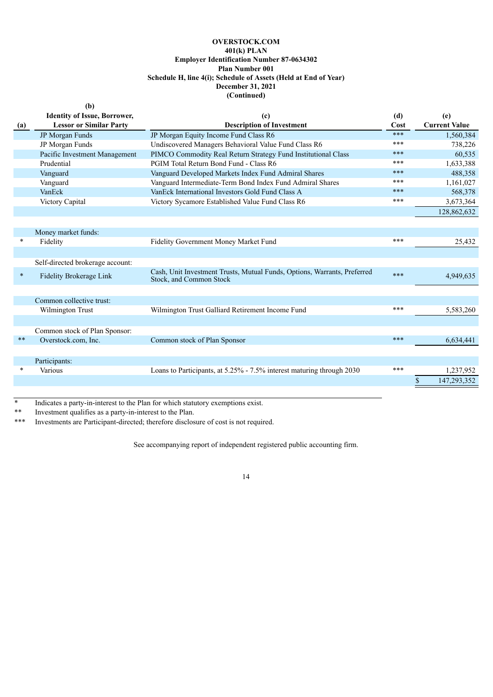# **OVERSTOCK.COM 401(k) PLAN Employer Identification Number 87-0634302 Plan Number 001 Schedule H, line 4(i); Schedule of Assets (Held at End of Year) December 31, 2021 (Continued)**

|        | (b)                                 |                                                                                                     |      |                      |
|--------|-------------------------------------|-----------------------------------------------------------------------------------------------------|------|----------------------|
|        | <b>Identity of Issue, Borrower,</b> | (c)                                                                                                 | (d)  | (e)                  |
| (a)    | <b>Lessor or Similar Party</b>      | <b>Description of Investment</b>                                                                    | Cost | <b>Current Value</b> |
|        | JP Morgan Funds                     | JP Morgan Equity Income Fund Class R6                                                               | ***  | 1,560,384            |
|        | JP Morgan Funds                     | Undiscovered Managers Behavioral Value Fund Class R6                                                | ***  | 738,226              |
|        | Pacific Investment Management       | PIMCO Commodity Real Return Strategy Fund Institutional Class                                       | ***  | 60,535               |
|        | Prudential                          | PGIM Total Return Bond Fund - Class R6                                                              | ***  | 1,633,388            |
|        | Vanguard                            | Vanguard Developed Markets Index Fund Admiral Shares                                                | ***  | 488,358              |
|        | Vanguard                            | Vanguard Intermediate-Term Bond Index Fund Admiral Shares                                           | ***  | 1,161,027            |
|        | VanEck                              | VanEck International Investors Gold Fund Class A                                                    | ***  | 568,378              |
|        | Victory Capital                     | Victory Sycamore Established Value Fund Class R6                                                    | ***  | 3,673,364            |
|        |                                     |                                                                                                     |      | 128,862,632          |
|        |                                     |                                                                                                     |      |                      |
|        | Money market funds:                 |                                                                                                     |      |                      |
| *      | Fidelity                            | Fidelity Government Money Market Fund                                                               | ***  | 25,432               |
|        |                                     |                                                                                                     |      |                      |
|        | Self-directed brokerage account:    |                                                                                                     |      |                      |
| $\ast$ | Fidelity Brokerage Link             | Cash, Unit Investment Trusts, Mutual Funds, Options, Warrants, Preferred<br>Stock, and Common Stock | ***  | 4,949,635            |
|        |                                     |                                                                                                     |      |                      |
|        | Common collective trust:            |                                                                                                     |      |                      |
|        | Wilmington Trust                    | Wilmington Trust Galliard Retirement Income Fund                                                    | ***  | 5,583,260            |
|        |                                     |                                                                                                     |      |                      |
|        |                                     |                                                                                                     |      |                      |
|        | Common stock of Plan Sponsor:       |                                                                                                     | ***  |                      |
| $**$   | Overstock.com, Inc.                 | Common stock of Plan Sponsor                                                                        |      | 6,634,441            |
|        |                                     |                                                                                                     |      |                      |
|        | Participants:                       |                                                                                                     |      |                      |
| *      | Various                             | Loans to Participants, at 5.25% - 7.5% interest maturing through 2030                               | ***  | 1,237,952            |
|        |                                     |                                                                                                     |      | 147,293,352<br>S     |
|        |                                     |                                                                                                     |      |                      |

Indicates a party-in-interest to the Plan for which statutory exemptions exist.

\*\* Investment qualifies as a party-in-interest to the Plan.

<span id="page-13-0"></span>\*\*\* Investments are Participant-directed; therefore disclosure of cost is not required.

See accompanying report of independent registered public accounting firm.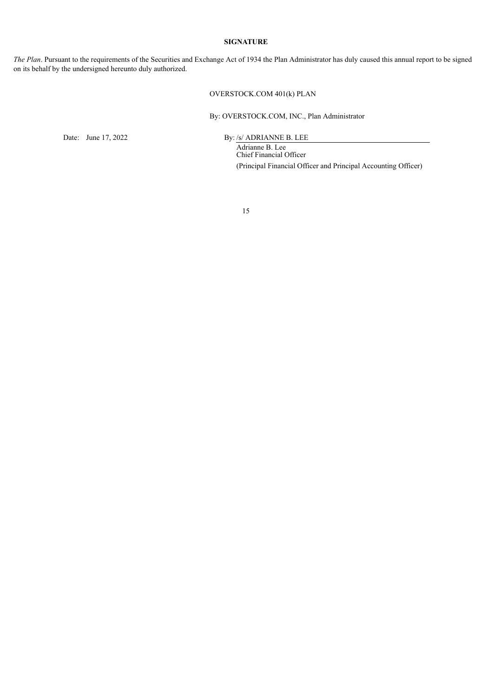## **SIGNATURE**

*The Plan*. Pursuant to the requirements of the Securities and Exchange Act of 1934 the Plan Administrator has duly caused this annual report to be signed on its behalf by the undersigned hereunto duly authorized.

# OVERSTOCK.COM 401(k) PLAN

By: OVERSTOCK.COM, INC., Plan Administrator

Date: June 17, 2022 By: /s/ ADRIANNE B. LEE

Adrianne B. Lee Chief Financial Officer (Principal Financial Officer and Principal Accounting Officer)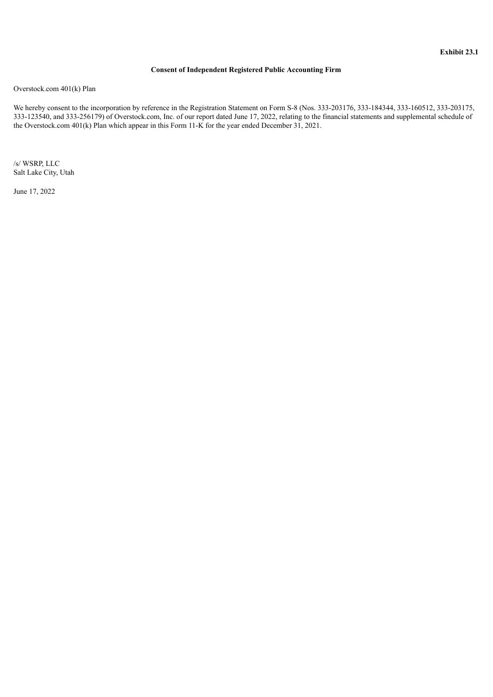## **Consent of Independent Registered Public Accounting Firm**

<span id="page-15-0"></span>Overstock.com 401(k) Plan

We hereby consent to the incorporation by reference in the Registration Statement on Form S-8 (Nos. 333-203176, 333-184344, 333-160512, 333-203175, 333-123540, and 333-256179) of Overstock.com, Inc. of our report dated June 17, 2022, relating to the financial statements and supplemental schedule of the Overstock.com 401(k) Plan which appear in this Form 11-K for the year ended December 31, 2021.

/s/ WSRP, LLC Salt Lake City, Utah

June 17, 2022